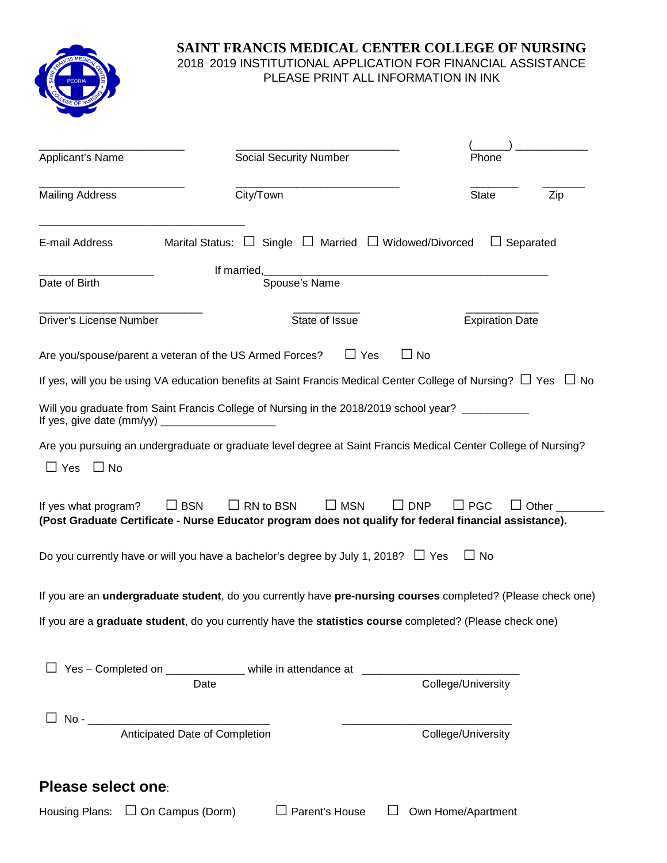

# **SAINT FRANCIS MEDICAL CENTER COLLEGE OF NURSING** 2018−2019 INSTITUTIONAL APPLICATION FOR FINANCIAL ASSISTANCE PLEASE PRINT ALL INFORMATION IN INK

| Applicant's Name                       | <b>Social Security Number</b>                                                                                                                              | Phone                              |  |
|----------------------------------------|------------------------------------------------------------------------------------------------------------------------------------------------------------|------------------------------------|--|
| <b>Mailing Address</b>                 | City/Town                                                                                                                                                  | Zip<br><b>State</b>                |  |
| E-mail Address                         | Marital Status: $\Box$ Single $\Box$ Married $\Box$ Widowed/Divorced                                                                                       | $\Box$ Separated                   |  |
| Date of Birth                          | Spouse's Name                                                                                                                                              |                                    |  |
| Driver's License Number                | State of Issue                                                                                                                                             | <b>Expiration Date</b>             |  |
|                                        | $\Box$ Yes<br>Are you/spouse/parent a veteran of the US Armed Forces?                                                                                      | $\Box$ No                          |  |
|                                        | If yes, will you be using VA education benefits at Saint Francis Medical Center College of Nursing? $\Box$ Yes $\Box$ No                                   |                                    |  |
|                                        | Will you graduate from Saint Francis College of Nursing in the 2018/2019 school year? ___________                                                          |                                    |  |
|                                        | Are you pursuing an undergraduate or graduate level degree at Saint Francis Medical Center College of Nursing?                                             |                                    |  |
| $\Box$ Yes<br>$\Box$ No                |                                                                                                                                                            |                                    |  |
| If yes what program?                   | $\Box$ MSN<br>$\square$ BSN<br>$\Box$ RN to BSN<br>(Post Graduate Certificate - Nurse Educator program does not qualify for federal financial assistance). | $\Box$ DNP<br>$\Box$ PGC<br>Other_ |  |
|                                        | Do you currently have or will you have a bachelor's degree by July 1, 2018? $\Box$ Yes                                                                     | $\Box$ No                          |  |
|                                        | If you are an undergraduate student, do you currently have pre-nursing courses completed? (Please check one)                                               |                                    |  |
|                                        | If you are a graduate student, do you currently have the statistics course completed? (Please check one)                                                   |                                    |  |
|                                        | □ Yes – Completed on ______________ while in attendance at _____________________                                                                           |                                    |  |
|                                        | Date                                                                                                                                                       | College/University                 |  |
|                                        | Anticipated Date of Completion                                                                                                                             | College/University                 |  |
| Please select one:                     |                                                                                                                                                            |                                    |  |
| Housing Plans: $\Box$ On Campus (Dorm) | $\Box$ Parent's House                                                                                                                                      | Own Home/Apartment                 |  |